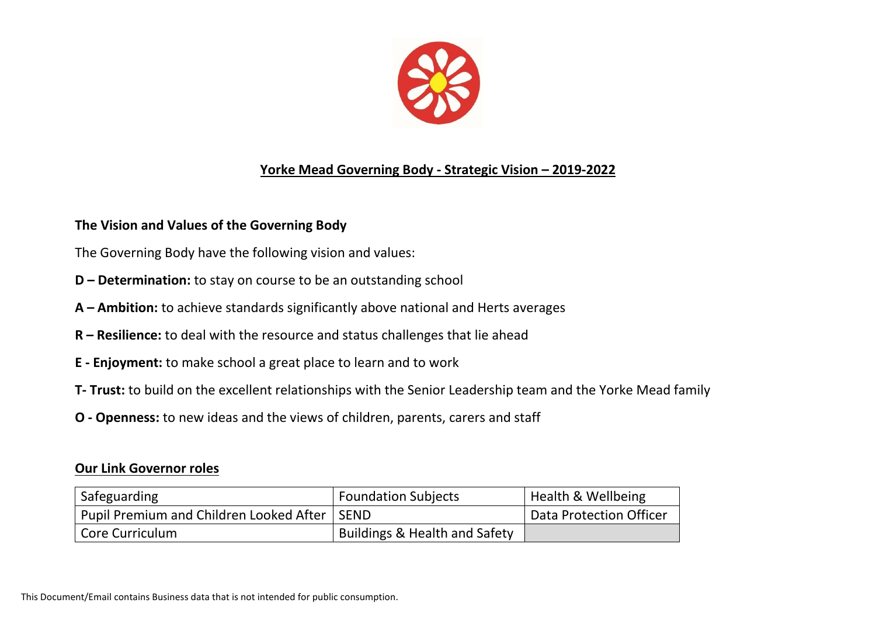

## **Yorke Mead Governing Body - Strategic Vision – 2019-2022**

## **The Vision and Values of the Governing Body**

The Governing Body have the following vision and values:

- **D – Determination:** to stay on course to be an outstanding school
- **A – Ambition:** to achieve standards significantly above national and Herts averages
- **R – Resilience:** to deal with the resource and status challenges that lie ahead
- **E - Enjoyment:** to make school a great place to learn and to work
- **T- Trust:** to build on the excellent relationships with the Senior Leadership team and the Yorke Mead family
- **O - Openness:** to new ideas and the views of children, parents, carers and staff

## **Our Link Governor roles**

| Safeguarding                            | <b>Foundation Subjects</b>               | <b>Health &amp; Wellbeing</b> |
|-----------------------------------------|------------------------------------------|-------------------------------|
| Pupil Premium and Children Looked After | <b>SEND</b>                              | Data Protection Officer       |
| Core Curriculum                         | <b>Buildings &amp; Health and Safety</b> |                               |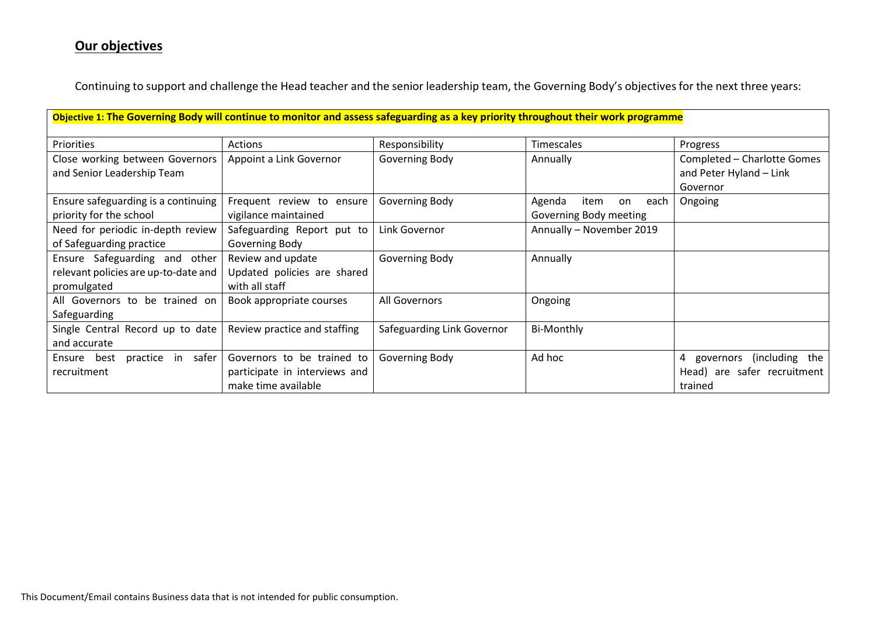## **Our objectives**

Continuing to support and challenge the Head teacher and the senior leadership team, the Governing Body's objectives for the next three years:

| Objective 1: The Governing Body will continue to monitor and assess safeguarding as a key priority throughout their work programme |                                                                                    |                            |                                                        |                                                                         |  |
|------------------------------------------------------------------------------------------------------------------------------------|------------------------------------------------------------------------------------|----------------------------|--------------------------------------------------------|-------------------------------------------------------------------------|--|
| Priorities                                                                                                                         | Actions                                                                            | Responsibility             | Timescales                                             | Progress                                                                |  |
| Close working between Governors<br>and Senior Leadership Team                                                                      | Appoint a Link Governor                                                            | Governing Body             | Annually                                               | Completed - Charlotte Gomes<br>and Peter Hyland - Link                  |  |
| Ensure safeguarding is a continuing<br>priority for the school                                                                     | Frequent review to ensure<br>vigilance maintained                                  | Governing Body             | Agenda<br>item<br>on<br>each<br>Governing Body meeting | Governor<br>Ongoing                                                     |  |
| Need for periodic in-depth review<br>of Safeguarding practice                                                                      | Safeguarding Report put to<br>Governing Body                                       | Link Governor              | Annually - November 2019                               |                                                                         |  |
| Ensure Safeguarding and other<br>relevant policies are up-to-date and<br>promulgated                                               | Review and update<br>Updated policies are shared<br>with all staff                 | Governing Body             | Annually                                               |                                                                         |  |
| All Governors to be trained on<br>Safeguarding                                                                                     | Book appropriate courses                                                           | All Governors              | Ongoing                                                |                                                                         |  |
| Single Central Record up to date<br>and accurate                                                                                   | Review practice and staffing                                                       | Safeguarding Link Governor | Bi-Monthly                                             |                                                                         |  |
| best<br>practice in safer<br>Ensure<br>recruitment                                                                                 | Governors to be trained to<br>participate in interviews and<br>make time available | Governing Body             | Ad hoc                                                 | (including the<br>4 governors<br>Head) are safer recruitment<br>trained |  |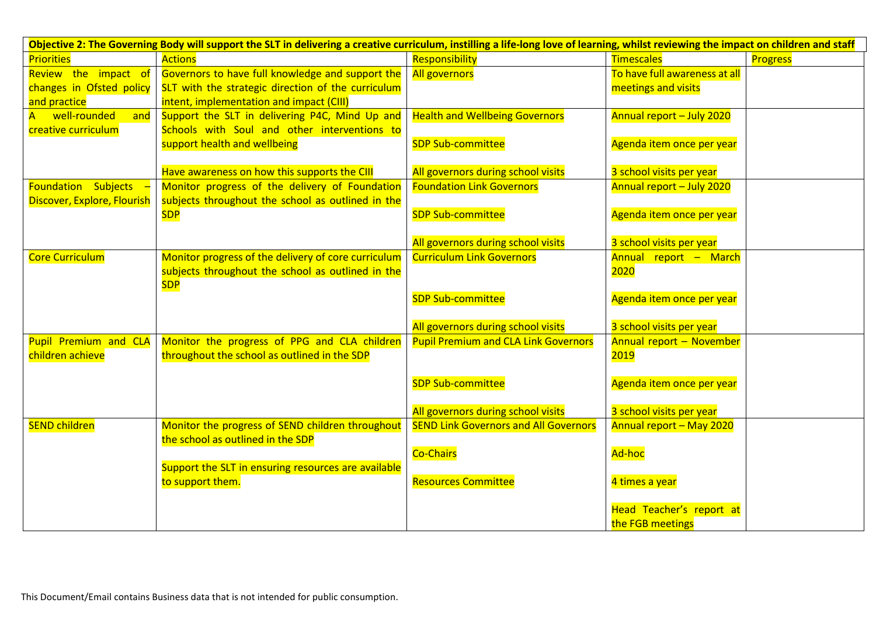| Objective 2: The Governing Body will support the SLT in delivering a creative curriculum, instilling a life-long love of learning, whilst reviewing the impact on children and staff |                                                     |                                              |                               |          |
|--------------------------------------------------------------------------------------------------------------------------------------------------------------------------------------|-----------------------------------------------------|----------------------------------------------|-------------------------------|----------|
| <b>Priorities</b>                                                                                                                                                                    | Actions                                             | Responsibility                               | <b>Timescales</b>             | Progress |
| Review the impact of                                                                                                                                                                 | Governors to have full knowledge and support the    | All governors                                | To have full awareness at all |          |
| changes in Ofsted policy                                                                                                                                                             | SLT with the strategic direction of the curriculum  |                                              | meetings and visits           |          |
| and practice                                                                                                                                                                         | intent, implementation and impact (CIII)            |                                              |                               |          |
| A well-rounded<br>and                                                                                                                                                                | Support the SLT in delivering P4C, Mind Up and      | <b>Health and Wellbeing Governors</b>        | Annual report - July 2020     |          |
| creative curriculum                                                                                                                                                                  | Schools with Soul and other interventions to        |                                              |                               |          |
|                                                                                                                                                                                      | support health and wellbeing                        | <b>SDP Sub-committee</b>                     | Agenda item once per year     |          |
|                                                                                                                                                                                      |                                                     |                                              |                               |          |
|                                                                                                                                                                                      | Have awareness on how this supports the CIII        | All governors during school visits           | 3 school visits per year      |          |
| <b>Foundation Subjects</b>                                                                                                                                                           | Monitor progress of the delivery of Foundation      | <b>Foundation Link Governors</b>             | Annual report - July 2020     |          |
| Discover, Explore, Flourish                                                                                                                                                          | subjects throughout the school as outlined in the   |                                              |                               |          |
|                                                                                                                                                                                      | <b>SDP</b>                                          | <b>SDP Sub-committee</b>                     | Agenda item once per year     |          |
|                                                                                                                                                                                      |                                                     |                                              |                               |          |
|                                                                                                                                                                                      |                                                     | All governors during school visits           | 3 school visits per year      |          |
| <b>Core Curriculum</b>                                                                                                                                                               | Monitor progress of the delivery of core curriculum | <b>Curriculum Link Governors</b>             | Annual report - March         |          |
|                                                                                                                                                                                      | subjects throughout the school as outlined in the   |                                              | 2020                          |          |
|                                                                                                                                                                                      | <b>SDP</b>                                          |                                              |                               |          |
|                                                                                                                                                                                      |                                                     | <b>SDP Sub-committee</b>                     | Agenda item once per year     |          |
|                                                                                                                                                                                      |                                                     | All governors during school visits           | 3 school visits per year      |          |
| Pupil Premium and CLA                                                                                                                                                                | Monitor the progress of PPG and CLA children        | <b>Pupil Premium and CLA Link Governors</b>  | Annual report - November      |          |
| children achieve                                                                                                                                                                     | throughout the school as outlined in the SDP        |                                              | <b>2019</b>                   |          |
|                                                                                                                                                                                      |                                                     |                                              |                               |          |
|                                                                                                                                                                                      |                                                     | <b>SDP Sub-committee</b>                     | Agenda item once per year     |          |
|                                                                                                                                                                                      |                                                     |                                              |                               |          |
|                                                                                                                                                                                      |                                                     | All governors during school visits           | 3 school visits per year      |          |
| <b>SEND children</b>                                                                                                                                                                 | Monitor the progress of SEND children throughout    | <b>SEND Link Governors and All Governors</b> | Annual report - May 2020      |          |
|                                                                                                                                                                                      | the school as outlined in the SDP                   | <b>Co-Chairs</b>                             | Ad-hoc                        |          |
|                                                                                                                                                                                      | Support the SLT in ensuring resources are available |                                              |                               |          |
|                                                                                                                                                                                      | to support them.                                    | <b>Resources Committee</b>                   | 4 times a year                |          |
|                                                                                                                                                                                      |                                                     |                                              |                               |          |
|                                                                                                                                                                                      |                                                     |                                              | Head Teacher's report at      |          |
|                                                                                                                                                                                      |                                                     |                                              | the FGB meetings              |          |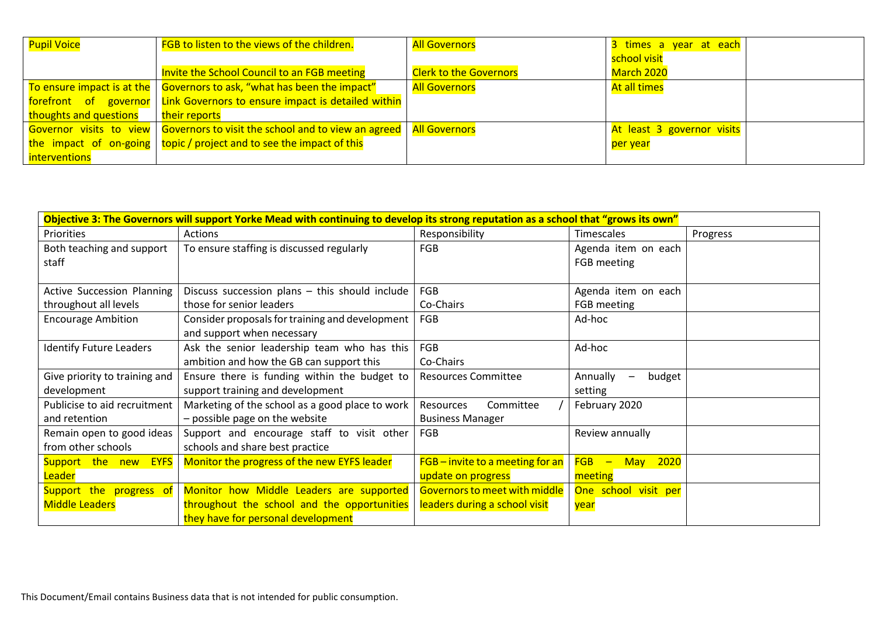| <b>Pupil Voice</b>     | FGB to listen to the views of the children.                                          | <b>All Governors</b>          | 3 times a year at each     |
|------------------------|--------------------------------------------------------------------------------------|-------------------------------|----------------------------|
|                        |                                                                                      |                               | school visit               |
|                        | Invite the School Council to an FGB meeting                                          | <b>Clerk to the Governors</b> | March 2020                 |
|                        | To ensure impact is at the   Governors to ask, "what has been the impact"            | <b>All Governors</b>          | At all times               |
|                        | forefront of governor   Link Governors to ensure impact is detailed within           |                               |                            |
| thoughts and questions | their reports                                                                        |                               |                            |
|                        | Governor visits to view   Governors to visit the school and to view an agreed        | <b>All Governors</b>          | At least 3 governor visits |
|                        | $\vert$ the impact of on-going $\vert$ topic / project and to see the impact of this |                               | per year                   |
| interventions          |                                                                                      |                               |                            |

| Objective 3: The Governors will support Yorke Mead with continuing to develop its strong reputation as a school that "grows its own" |                                                 |                                |                      |          |  |
|--------------------------------------------------------------------------------------------------------------------------------------|-------------------------------------------------|--------------------------------|----------------------|----------|--|
| Priorities                                                                                                                           | Actions                                         | Responsibility                 | Timescales           | Progress |  |
| Both teaching and support                                                                                                            | To ensure staffing is discussed regularly       | FGB                            | Agenda item on each  |          |  |
| staff                                                                                                                                |                                                 |                                | FGB meeting          |          |  |
|                                                                                                                                      |                                                 |                                |                      |          |  |
| <b>Active Succession Planning</b>                                                                                                    | Discuss succession plans - this should include  | <b>FGB</b>                     | Agenda item on each  |          |  |
| throughout all levels                                                                                                                | those for senior leaders                        | Co-Chairs                      | FGB meeting          |          |  |
| <b>Encourage Ambition</b>                                                                                                            | Consider proposals for training and development | <b>FGB</b>                     | Ad-hoc               |          |  |
|                                                                                                                                      | and support when necessary                      |                                |                      |          |  |
| <b>Identify Future Leaders</b>                                                                                                       | Ask the senior leadership team who has this     | <b>FGB</b>                     | Ad-hoc               |          |  |
|                                                                                                                                      | ambition and how the GB can support this        | Co-Chairs                      |                      |          |  |
| Give priority to training and                                                                                                        | Ensure there is funding within the budget to    | <b>Resources Committee</b>     | Annually<br>budget   |          |  |
| development                                                                                                                          | support training and development                |                                | setting              |          |  |
| Publicise to aid recruitment                                                                                                         | Marketing of the school as a good place to work | Committee<br>Resources         | February 2020        |          |  |
| and retention                                                                                                                        | - possible page on the website                  | <b>Business Manager</b>        |                      |          |  |
| Remain open to good ideas                                                                                                            | Support and encourage staff to visit other      | <b>FGB</b>                     | Review annually      |          |  |
| from other schools                                                                                                                   | schools and share best practice                 |                                |                      |          |  |
| Support the new EYFS                                                                                                                 | Monitor the progress of the new EYFS leader     | FGB-invite to a meeting for an | $FGB -$<br>May 2020  |          |  |
| Leader                                                                                                                               |                                                 | update on progress             | meeting              |          |  |
| Support the progress of                                                                                                              | Monitor how Middle Leaders are supported        | Governors to meet with middle  | One school visit per |          |  |
| <b>Middle Leaders</b>                                                                                                                | throughout the school and the opportunities     | leaders during a school visit  | year                 |          |  |
|                                                                                                                                      | they have for personal development              |                                |                      |          |  |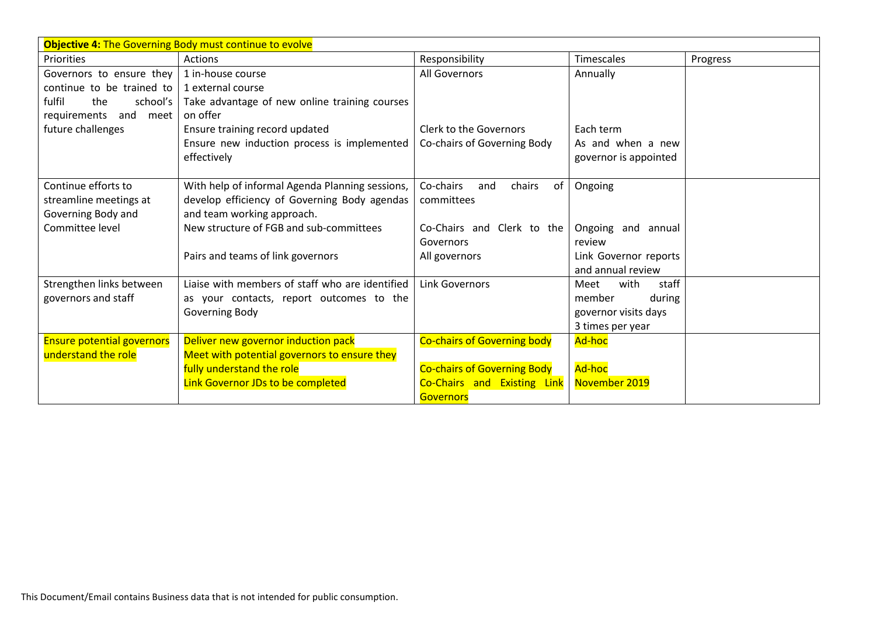| <b>Objective 4: The Governing Body must continue to evolve</b> |                                                 |                                    |                       |          |
|----------------------------------------------------------------|-------------------------------------------------|------------------------------------|-----------------------|----------|
| Priorities                                                     | <b>Actions</b>                                  | Responsibility                     | Timescales            | Progress |
| Governors to ensure they                                       | 1 in-house course                               | All Governors                      | Annually              |          |
| continue to be trained to                                      | 1 external course                               |                                    |                       |          |
| fulfil<br>the<br>school's                                      | Take advantage of new online training courses   |                                    |                       |          |
| requirements<br>and<br>meet                                    | on offer                                        |                                    |                       |          |
| future challenges                                              | Ensure training record updated                  | <b>Clerk to the Governors</b>      | Each term             |          |
|                                                                | Ensure new induction process is implemented     | Co-chairs of Governing Body        | As and when a new     |          |
|                                                                | effectively                                     |                                    | governor is appointed |          |
|                                                                |                                                 |                                    |                       |          |
| Continue efforts to                                            | With help of informal Agenda Planning sessions, | Co-chairs<br>chairs<br>0f<br>and   | Ongoing               |          |
| streamline meetings at                                         | develop efficiency of Governing Body agendas    | committees                         |                       |          |
| Governing Body and                                             | and team working approach.                      |                                    |                       |          |
| Committee level                                                | New structure of FGB and sub-committees         | Co-Chairs and Clerk to the         | Ongoing and annual    |          |
|                                                                |                                                 | Governors                          | review                |          |
|                                                                | Pairs and teams of link governors               | All governors                      | Link Governor reports |          |
|                                                                |                                                 |                                    | and annual review     |          |
| Strengthen links between                                       | Liaise with members of staff who are identified | Link Governors                     | staff<br>with<br>Meet |          |
| governors and staff                                            | as your contacts, report outcomes to the        |                                    | during<br>member      |          |
|                                                                | Governing Body                                  |                                    | governor visits days  |          |
|                                                                |                                                 |                                    | 3 times per year      |          |
| <b>Ensure potential governors</b>                              | Deliver new governor induction pack             | <b>Co-chairs of Governing body</b> | Ad-hoc                |          |
| understand the role                                            | Meet with potential governors to ensure they    |                                    |                       |          |
|                                                                | fully understand the role                       | <b>Co-chairs of Governing Body</b> | Ad-hoc                |          |
|                                                                | Link Governor JDs to be completed               | Co-Chairs and Existing Link        | November 2019         |          |
|                                                                |                                                 | <b>Governors</b>                   |                       |          |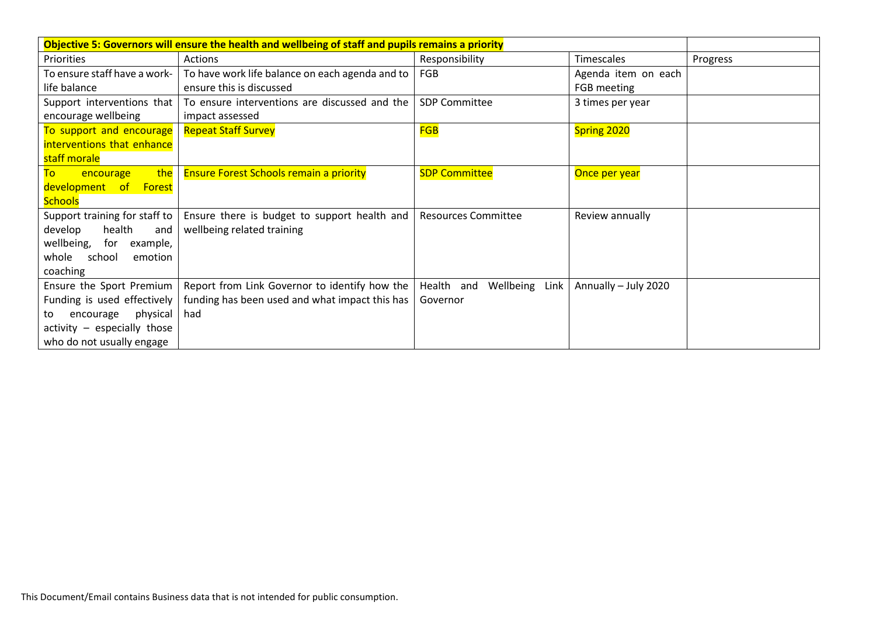| Objective 5: Governors will ensure the health and wellbeing of staff and pupils remains a priority |                                                 |                                 |                      |          |
|----------------------------------------------------------------------------------------------------|-------------------------------------------------|---------------------------------|----------------------|----------|
| Priorities                                                                                         | Actions                                         | Responsibility                  | Timescales           | Progress |
| To ensure staff have a work-                                                                       | To have work life balance on each agenda and to | <b>FGB</b>                      | Agenda item on each  |          |
| life balance                                                                                       | ensure this is discussed                        |                                 | FGB meeting          |          |
| Support interventions that                                                                         | To ensure interventions are discussed and the   | <b>SDP Committee</b>            | 3 times per year     |          |
| encourage wellbeing                                                                                | impact assessed                                 |                                 |                      |          |
| To support and encourage                                                                           | <b>Repeat Staff Survey</b>                      | <b>FGB</b>                      | Spring 2020          |          |
| interventions that enhance                                                                         |                                                 |                                 |                      |          |
| staff morale                                                                                       |                                                 |                                 |                      |          |
| the<br>To<br>encourage                                                                             | <b>Ensure Forest Schools remain a priority</b>  | <b>SDP Committee</b>            | Once per year        |          |
| development of Forest                                                                              |                                                 |                                 |                      |          |
| <b>Schools</b>                                                                                     |                                                 |                                 |                      |          |
| Support training for staff to                                                                      | Ensure there is budget to support health and    | <b>Resources Committee</b>      | Review annually      |          |
| health<br>develop<br>and                                                                           | wellbeing related training                      |                                 |                      |          |
| wellbeing,<br>for<br>example,                                                                      |                                                 |                                 |                      |          |
| whole school<br>emotion                                                                            |                                                 |                                 |                      |          |
| coaching                                                                                           |                                                 |                                 |                      |          |
| Ensure the Sport Premium                                                                           | Report from Link Governor to identify how the   | Health and<br>Wellbeing<br>Link | Annually - July 2020 |          |
| Funding is used effectively                                                                        | funding has been used and what impact this has  | Governor                        |                      |          |
| physical<br>encourage<br>to                                                                        | had                                             |                                 |                      |          |
| $\arctivity$ - especially those                                                                    |                                                 |                                 |                      |          |
| who do not usually engage                                                                          |                                                 |                                 |                      |          |